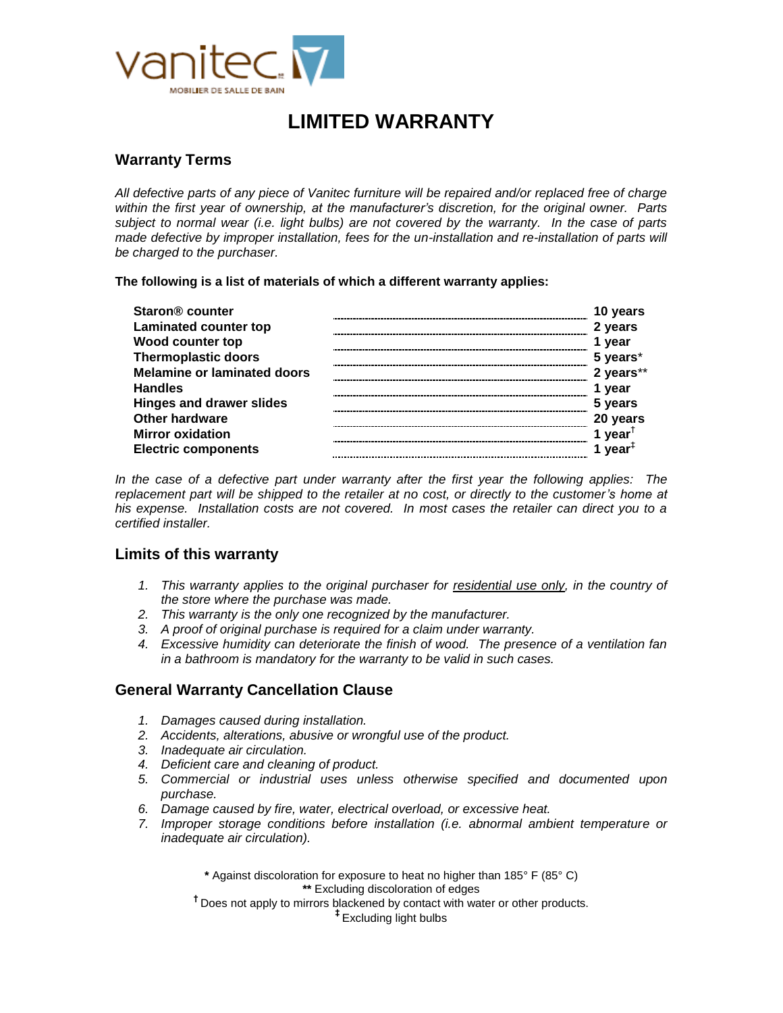

# **LIMITED WARRANTY**

### **Warranty Terms**

*All defective parts of any piece of Vanitec furniture will be repaired and/or replaced free of charge within the first year of ownership, at the manufacturer's discretion, for the original owner. Parts subject to normal wear (i.e. light bulbs) are not covered by the warranty. In the case of parts made defective by improper installation, fees for the un-installation and re-installation of parts will be charged to the purchaser.* 

**The following is a list of materials of which a different warranty applies:**

| <b>Staron<sup>®</sup> counter</b>  | 10 years                         |
|------------------------------------|----------------------------------|
| <b>Laminated counter top</b>       | 2 years                          |
| Wood counter top                   | 1 year                           |
| <b>Thermoplastic doors</b>         | 5 years*                         |
| <b>Melamine or laminated doors</b> | 2 years**                        |
| <b>Handles</b>                     | 1 year                           |
| <b>Hinges and drawer slides</b>    | 5 years                          |
| <b>Other hardware</b>              | 20 years                         |
| <b>Mirror oxidation</b>            | 1 year <sup><math>†</math></sup> |
| <b>Electric components</b>         | 1 year <sup><math>‡</math></sup> |

*In the case of a defective part under warranty after the first year the following applies: The replacement part will be shipped to the retailer at no cost, or directly to the customer's home at his expense. Installation costs are not covered. In most cases the retailer can direct you to a certified installer.*

### **Limits of this warranty**

- *1. This warranty applies to the original purchaser for residential use only, in the country of the store where the purchase was made.*
- *2. This warranty is the only one recognized by the manufacturer.*
- *3. A proof of original purchase is required for a claim under warranty.*
- *4. Excessive humidity can deteriorate the finish of wood. The presence of a ventilation fan in a bathroom is mandatory for the warranty to be valid in such cases.*

### **General Warranty Cancellation Clause**

- *1. Damages caused during installation.*
- *2. Accidents, alterations, abusive or wrongful use of the product.*
- *3. Inadequate air circulation.*
- *4. Deficient care and cleaning of product.*
- *5. Commercial or industrial uses unless otherwise specified and documented upon purchase.*
- *6. Damage caused by fire, water, electrical overload, or excessive heat.*
- *7. Improper storage conditions before installation (i.e. abnormal ambient temperature or inadequate air circulation).*

**\*** Against discoloration for exposure to heat no higher than 185° F (85° C) **\*\*** Excluding discoloration of edges

**†** Does not apply to mirrors blackened by contact with water or other products.

**‡** Excluding light bulbs